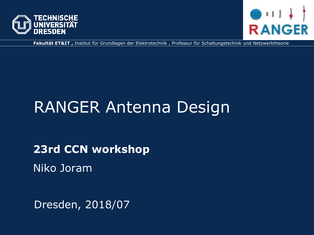



**Fakultät ET&IT ,** Institut für Grundlagen der Elektrotechnik , Professur für Schaltungstechnik und Netzwerktheorie

# RANGER Antenna Design

**23rd CCN workshop** 

Niko Joram

Dresden, 2018/07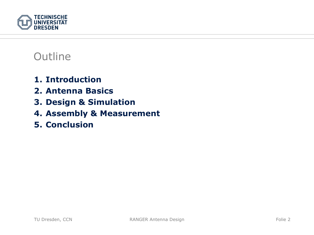

### **Outline**

- **1. Introduction**
- **2. Antenna Basics**
- **3. Design & Simulation**
- **4. Assembly & Measurement**
- **5. Conclusion**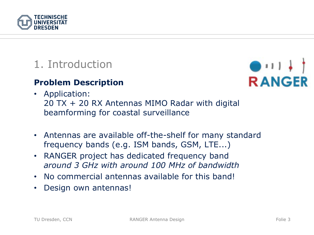

### 1. Introduction

#### **Problem Description**

# $111.$ **RANGER**

- Application: 20 TX + 20 RX Antennas MIMO Radar with digital beamforming for coastal surveillance
- Antennas are available off-the-shelf for many standard frequency bands (e.g. ISM bands, GSM, LTE...)
- $\bullet$  RANGER project has dedicated frequency band *around 3 GHz with around 100 MHz of bandwidth*
- No commercial antennas available for this band!
- $\bullet$ Design own antennas!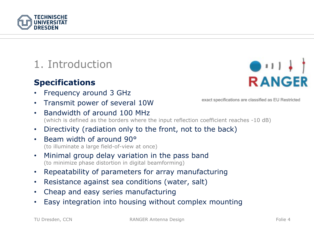

## 1. Introduction

### **Specifications**

**TECHNISCHE** 

- •Frequency around 3 GHz
- •Transmit power of several 10W
- • Bandwidth of around 100 MHz(which is defined as the borders where the input reflection coefficient reaches -10 dB)
- •Directivity (radiation only to the front, not to the back)
- Beam width of around 90°(to illuminate a large field-of-view at once)
- • Minimal group delay variation in the pass band (to minimize phase distortion in digital beamforming)
- •Repeatability of parameters for array manufacturing
- $\bullet$ Resistance against sea conditions (water, salt)
- $\bullet$ Cheap and easy series manufacturing
- •Easy integration into housing without complex mounting

 $\bigcirc$   $\sqcup$   $\bigcirc$ **RANGER** 

exact specifications are classified as EU Restricted

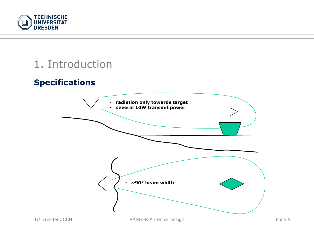

### 1. Introduction

### **Specifications**

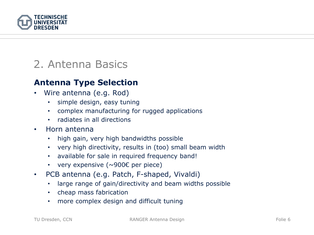

### 2. Antenna Basics

#### **Antenna Type Selection**

- • Wire antenna (e.g. Rod)
	- •simple design, easy tuning
	- complex manufacturing for rugged applications
	- radiates in all directions
- • Horn antenna
	- $\bullet$ high gain, very high bandwidths possible
	- very high directivity, results in (too) small beam width
	- available for sale in required frequency band!
	- very expensive (~900€ per piece)
- • PCB antenna (e.g. Patch, F-shaped, Vivaldi)
	- large range of gain/directivity and beam widths possible
	- cheap mass fabrication
	- more complex design and difficult tuning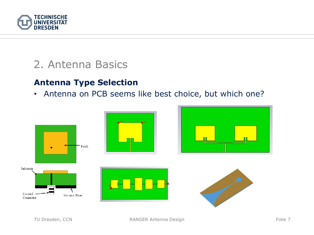

### 2. Antenna Basics

#### **Antenna Type Selection**

• Antenna on PCB seems like best choice, but which one?

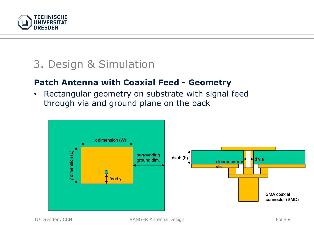

#### **Patch Antenna with Coaxial Feed - Geometry**

 $\bullet$  Rectangular geometry on substrate with signal feed through via and ground plane on the back

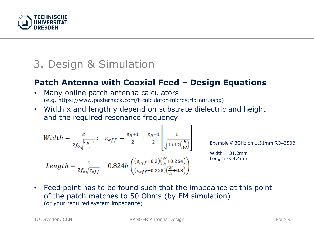

#### **Patch Antenna with Coaxial Feed – Design Equations**

- • Many online patch antenna calculators (e.g. https://www.pasternack.com/t-calculator-microstrip-ant.aspx)
- Width x and length y depend on substrate dielectric and height and the required resonance frequency

$$
Width = \frac{c}{2f_0\sqrt{\frac{\varepsilon_R+1}{2}}}; \quad \varepsilon_{eff} = \frac{\varepsilon_R+1}{2} + \frac{\varepsilon_R-1}{2} \sqrt{\frac{1}{1+12\left(\frac{h}{W}\right)}}
$$

Length =  $\frac{c}{2f_0\sqrt{\varepsilon_{eff}}}$  - 0.824h  $\left(\frac{(\varepsilon_{eff}+0.3)(\frac{W}{h}+0.264)}{(\varepsilon_{eff}-0.258)(\frac{W}{h}+0.8)}\right)$ 

Example @3GHz on 1.51mm RO4350B

Width  $\sim$  31.2mm Length  $\sim$  24.4mm

• Feed point has to be found such that the impedance at this point of the patch matches to 50 Ohms (by EM simulation) (or your required system impedance)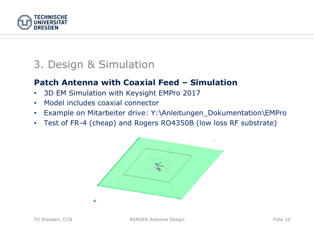

#### **Patch Antenna with Coaxial Feed – Simulation**

- •3D EM Simulation with Keysight EMPro 2017
- •Model includes coaxial connector
- $\bullet$ Example on Mitarbeiter drive: Y:\Anleitungen\_Dokumentation\EMPro
- $\bullet$ Test of FR-4 (cheap) and Rogers RO4350B (low loss RF substrate)

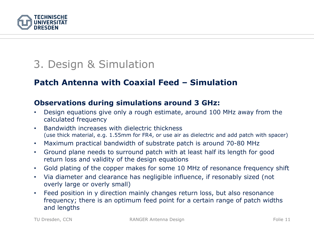

#### **Patch Antenna with Coaxial Feed – Simulation**

#### **Observations during simulations around 3 GHz:**

- $\bullet$  Design equations give only a rough estimate, around 100 MHz away from the calculated frequency
- • Bandwidth increases with dielectric thickness (use thick material, e.g. 1.55mm for FR4, or use air as dielectric and add patch with spacer)
- $\bullet$ Maximum practical bandwidth of substrate patch is around 70-80 MHz
- • Ground plane needs to surround patch with at least half its length for good return loss and validity of the design equations
- •Gold plating of the copper makes for some 10 MHz of resonance frequency shift
- • Via diameter and clearance has negligible influence, if resonably sized (not overly large or overly small)
- • Feed position in y direction mainly changes return loss, but also resonance frequency; there is an optimum feed point for a certain range of patch widths and lengths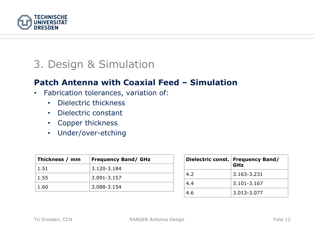

#### **Patch Antenna with Coaxial Feed – Simulation**

- • Fabrication tolerances, variation of:
	- •Dielectric thickness
	- Dielectric constant
	- Copper thickness
	- Under/over-etching

| Thickness / mm | <b>Frequency Band/ GHz</b> |
|----------------|----------------------------|
| 1.51           | 3.120-3.184                |
| 1.55           | 3.091-3.157                |
| 1.60           | 3.088-3.154                |

|     | Dielectric const.   Frequency Band/<br>GHz |
|-----|--------------------------------------------|
| 4.2 | 3.163-3.231                                |
| 4.4 | 3.101-3.167                                |
| 4.6 | 3.013-3.077                                |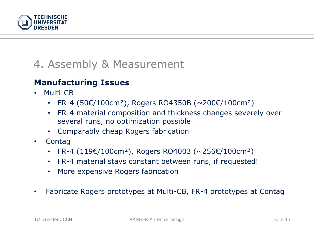

#### **Manufacturing Issues**

- • Multi-CB
	- $\bullet$ FR-4 (50€/100cm²), Rogers RO4350B (~200€/100cm²)
	- • FR-4 material composition and thickness changes severely over several runs, no optimization possible
	- Comparably cheap Rogers fabrication
- •**Contag** 
	- FR-4 (119€/100cm²), Rogers RO4003 (~256€/100cm²)
	- FR-4 material stays constant between runs, if requested!
	- More expensive Rogers fabrication
- $\bullet$ Fabricate Rogers prototypes at Multi-CB, FR-4 prototypes at Contag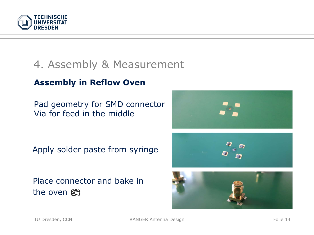

#### **Assembly in Reflow Oven**

Pad geometry for SMD connector Via for feed in the middle

Apply solder paste from syringe

Place connector and bake in the oven e





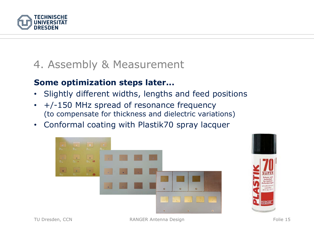

#### **Some optimization steps later...**

- •Slightly different widths, lengths and feed positions
- • +/-150 MHz spread of resonance frequency (to compensate for thickness and dielectric variations)
- $\bullet$ Conformal coating with Plastik70 spray lacquer



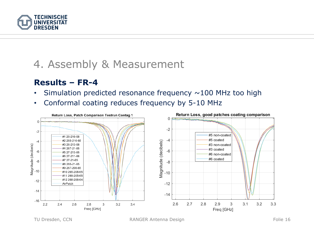

#### **Results – FR-4**

- •Simulation predicted resonance frequency  $\sim$  100 MHz too high
- •Conformal coating reduces frequency by 5-10 MHz

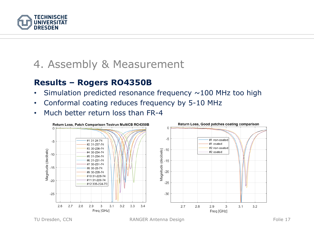

#### **Results – Rogers RO4350B**

- •Simulation predicted resonance frequency  $\sim$  100 MHz too high
- •Conformal coating reduces frequency by 5-10 MHz
- •Much better return loss than FR-4

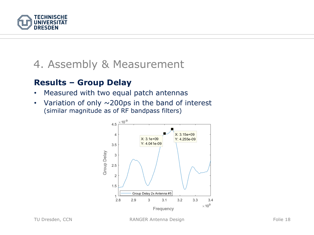

#### **Results – Group Delay**

- •Measured with two equal patch antennas
- $\bullet$ Variation of only  $\sim$  200ps in the band of interest (similar magnitude as of RF bandpass filters)

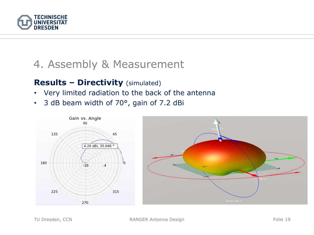

#### **Results – Directivity** (simulated)

- Very limited radiation to the back of the antenna
- •3 dB beam width of 70°, gain of 7.2 dBi